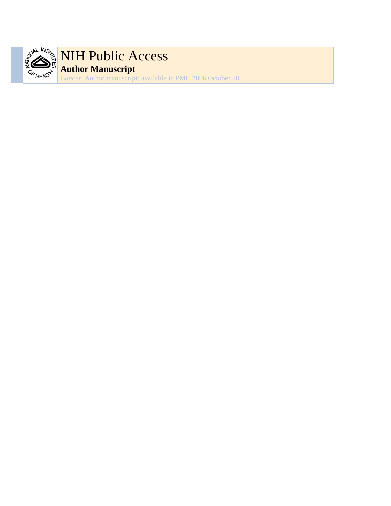

# NIH Public Access **Author Manuscript**

*Cancer*. Author manuscript; available in PMC 2006 October 20.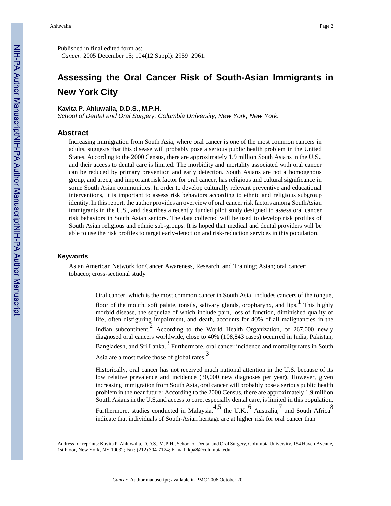Published in final edited form as: *Cancer*. 2005 December 15; 104(12 Suppl): 2959–2961.

## **Assessing the Oral Cancer Risk of South-Asian Immigrants in New York City**

#### **Kavita P. Ahluwalia, D.D.S., M.P.H.**

*School of Dental and Oral Surgery, Columbia University, New York, New York.*

#### **Abstract**

Increasing immigration from South Asia, where oral cancer is one of the most common cancers in adults, suggests that this disease will probably pose a serious public health problem in the United States. According to the 2000 Census, there are approximately 1.9 million South Asians in the U.S., and their access to dental care is limited. The morbidity and mortality associated with oral cancer can be reduced by primary prevention and early detection. South Asians are not a homogenous group, and areca, and important risk factor for oral cancer, has religious and cultural significance in some South Asian communities. In order to develop culturally relevant preventive and educational interventions, it is important to assess risk behaviors according to ethnic and religious subgroup identity. In this report, the author provides an overview of oral cancer risk factors among SouthAsian immigrants in the U.S., and describes a recently funded pilot study designed to assess oral cancer risk behaviors in South Asian seniors. The data collected will be used to develop risk profiles of South Asian religious and ethnic sub-groups. It is hoped that medical and dental providers will be able to use the risk profiles to target early-detection and risk-reduction services in this population.

#### **Keywords**

Asian American Network for Cancer Awareness, Research, and Training; Asian; oral cancer; tobacco; cross-sectional study

> Oral cancer, which is the most common cancer in South Asia, includes cancers of the tongue, floor of the mouth, soft palate, tonsils, salivary glands, oropharynx, and lips.  $\frac{1}{1}$  This highly morbid disease, the sequelae of which include pain, loss of function, diminished quality of life, often disfiguring impairment, and death, accounts for 40% of all malignancies in the Indian subcontinent.<sup>2</sup> According to the World Health Organization, of 267,000 newly diagnosed oral cancers worldwide, close to 40% (108,843 cases) occurred in India, Pakistan, Bangladesh, and Sri Lanka.<sup>3</sup> Furthermore, oral cancer incidence and mortality rates in South Asia are almost twice those of global rates.<sup>3</sup>

> Historically, oral cancer has not received much national attention in the U.S. because of its low relative prevalence and incidence (30,000 new diagnoses per year). However, given increasing immigration from South Asia, oral cancer will probably pose a serious public health problem in the near future: According to the 2000 Census, there are approximately 1.9 million South Asians in the U.S,and access to care, especially dental care, is limited in this population. Furthermore, studies conducted in Malaysia,  $4.5$  the U.K.,  $6$  Australia,  $7$  and South Africa  $8$ indicate that individuals of South-Asian heritage are at higher risk for oral cancer than

Address for reprints: Kavita P. Ahluwalia, D.D.S., M.P.H., School of Dental and Oral Surgery, Columbia University, 154 Haven Avenue, 1st Floor, New York, NY 10032; Fax: (212) 304-7174; E-mail: kpa8@columbia.edu.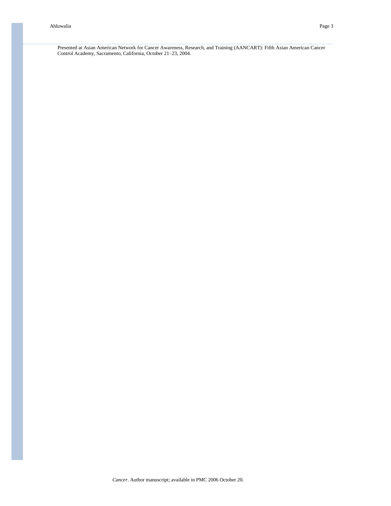Presented at Asian American Network for Cancer Awareness, Research, and Training (AANCART): Fifth Asian American Cancer Control Academy, Sacramento, California, October 21–23, 2004.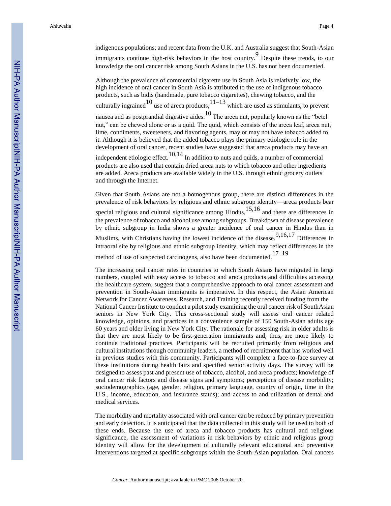Ahluwalia Page 4

indigenous populations; and recent data from the U.K. and Australia suggest that South-Asian immigrants continue high-risk behaviors in the host country.<sup>9</sup> Despite these trends, to our knowledge the oral cancer risk among South Asians in the U.S. has not been documented.

Although the prevalence of commercial cigarette use in South Asia is relatively low, the high incidence of oral cancer in South Asia is attributed to the use of indigenous tobacco products, such as bidis (handmade, pure tobacco cigarettes), chewing tobacco, and the culturally ingrained  $10$  use of areca products,  $11-13$  which are used as stimulants, to prevent nausea and as postprandial digestive aides.<sup>10</sup> The areca nut, popularly known as the "betel nut," can be chewed alone or as a quid. The quid, which consists of the areca leaf, areca nut, lime, condiments, sweeteners, and flavoring agents, may or may not have tobacco added to it. Although it is believed that the added tobacco plays the primary etiologic role in the development of oral cancer, recent studies have suggested that areca products may have an independent etiologic effect.<sup>10,14</sup> In addition to nuts and quids, a number of commercial products are also used that contain dried areca nuts to which tobacco and other ingredients are added. Areca products are available widely in the U.S. through ethnic grocery outlets and through the Internet.

Given that South Asians are not a homogenous group, there are distinct differences in the prevalence of risk behaviors by religious and ethnic subgroup identity—areca products bear special religious and cultural significance among Hindus,<sup>15,16</sup> and there are differences in the prevalence of tobacco and alcohol use among subgroups. Breakdown of disease prevalence by ethnic subgroup in India shows a greater incidence of oral cancer in Hindus than in Muslims, with Christians having the lowest incidence of the disease.  $9,16,17$  Differences in intraoral site by religious and ethnic subgroup identity, which may reflect differences in the method of use of suspected carcinogens, also have been documented.<sup>17–19</sup>

The increasing oral cancer rates in countries to which South Asians have migrated in large numbers, coupled with easy access to tobacco and areca products and difficulties accessing the healthcare system, suggest that a comprehensive approach to oral cancer assessment and prevention in South-Asian immigrants is imperative. In this respect, the Asian American Network for Cancer Awareness, Research, and Training recently received funding from the National Cancer Institute to conduct a pilot study examining the oral cancer risk of SouthAsian seniors in New York City. This cross-sectional study will assess oral cancer related knowledge, opinions, and practices in a convenience sample of 150 South-Asian adults age 60 years and older living in New York City. The rationale for assessing risk in older adults is that they are most likely to be first-generation immigrants and, thus, are more likely to continue traditional practices. Participants will be recruited primarily from religious and cultural institutions through community leaders, a method of recruitment that has worked well in previous studies with this community. Participants will complete a face-to-face survey at these institutions during health fairs and specified senior activity days. The survey will be designed to assess past and present use of tobacco, alcohol, and areca products; knowledge of oral cancer risk factors and disease signs and symptoms; perceptions of disease morbidity; sociodemographics (age, gender, religion, primary language, country of origin, time in the U.S., income, education, and insurance status); and access to and utilization of dental and medical services.

The morbidity and mortality associated with oral cancer can be reduced by primary prevention and early detection. It is anticipated that the data collected in this study will be used to both of these ends. Because the use of areca and tobacco products has cultural and religious significance, the assessment of variations in risk behaviors by ethnic and religious group identity will allow for the development of culturally relevant educational and preventive interventions targeted at specific subgroups within the South-Asian population. Oral cancers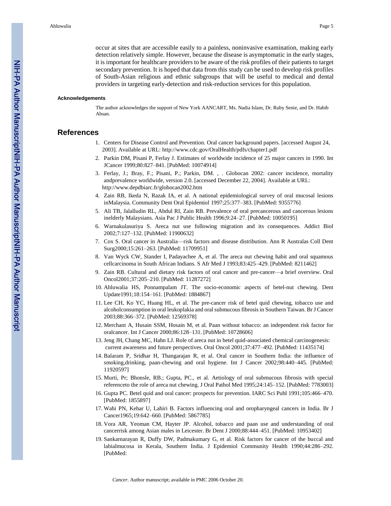occur at sites that are accessible easily to a painless, noninvasive examination, making early detection relatively simple. However, because the disease is asymptomatic in the early stages, it is important for healthcare providers to be aware of the risk profiles of their patients to target secondary prevention. It is hoped that data from this study can be used to develop risk profiles of South-Asian religious and ethnic subgroups that will be useful to medical and dental providers in targeting early-detection and risk-reduction services for this population.

#### **Acknowledgements**

The author acknowledges the support of New York AANCART, Ms. Nadia Islam, Dr. Ruby Senie, and Dr. Habib Ahsan.

### **References**

- 1. Centers for Disease Control and Prevention. Oral cancer background papers. [accessed August 24, 2003]. Available at URL: <http://www.cdc.gov/OralHealth/pdfs/chapter1.pdf>
- 2. Parkin DM, Pisani P, Ferlay J. Estimates of worldwide incidence of 25 major cancers in 1990. Int JCancer 1999;80:827–841. [PubMed: 10074914]
- 3. Ferlay, J.; Bray, F.; Pisani, P.; Parkin, DM. , . Globocan 2002: cancer incidence, mortality andprevalence worldwide, version 2.0. [accessed December 22, 2004]. Available at URL: <http://www.depdbiarc.fr/globocan2002.htm>
- 4. Zain RB, Ikeda N, Razak IA, et al. A national epidemiological survey of oral mucosal lesions inMalaysia. Community Dent Oral Epidemiol 1997;25:377–383. [PubMed: 9355776]
- 5. Ali TB, Jalalludin RL, Abdul RI, Zain RB. Prevalence of oral precancerous and cancerous lesions inelderly Malaysians. Asia Pac J Public Health 1996;9:24–27. [PubMed: 10050195]
- 6. Warnakulasuriya S. Areca nut use following migration and its consequences. Addict Biol 2002;7:127–132. [PubMed: 11900632]
- 7. Cox S. Oral cancer in Australia—risk factors and disease distribution. Ann R Australas Coll Dent Surg2000;15:261–263. [PubMed: 11709951]
- 8. Van Wyck CW, Stander I, Padayachee A, et al. The areca nut chewing habit and oral squamous cellcarcinoma in South African Indians. S Afr Med J 1993;83:425–429. [PubMed: 8211462]
- 9. Zain RB. Cultural and dietary risk factors of oral cancer and pre-cancer—a brief overview. Oral Oncol2001;37:205–210. [PubMed: 11287272]
- 10. Ahluwalia HS, Ponnampalam JT. The socio-economic aspects of betel-nut chewing. Dent Update1991;18:154–161. [PubMed: 1884867]
- 11. Lee CH, Ko YC, Huang HL, et al. The pre-cancer risk of betel quid chewing, tobacco use and alcoholconsumption in oral leukoplakia and oral submucous fibrosis in Southern Taiwan. Br J Cancer 2003;88:366–372. [PubMed: 12569378]
- 12. Merchant A, Husain SSM, Hosain M, et al. Paan without tobacco: an independent risk factor for oralcancer. Int J Cancer 2000;86:128–131. [PubMed: 10728606]
- 13. Jeng JH, Chang MC, Hahn LJ. Role of areca nut in betel quid-associated chemical carcinogenesis: current awareness and future perspectives. Oral Oncol 2001;37:477–492. [PubMed: 11435174]
- 14. Balaram P, Sridhar H, Thangarajan R, et al. Oral cancer in Southern India: the influence of smoking,drinking, paan-chewing and oral hygiene. Int J Cancer 2002;98:440–445. [PubMed: 11920597]
- 15. Murti, Pr; Bhonsle, RB.; Gupta, PC., et al. Aetiology of oral submucous fibrosis with special referenceto the role of areca nut chewing. J Oral Pathol Med 1995;24:145–152. [PubMed: 7783003]
- 16. Gupta PC. Betel quid and oral cancer: prospects for prevention. IARC Sci Publ 1991;105:466–470. [PubMed: 1855897]
- 17. Wahi PN, Kehar U, Lahiri B. Factors influencing oral and oropharyngeal cancers in India. Br J Cancer1965;19:642–660. [PubMed: 5867785]
- 18. Vora AR, Yeoman CM, Hayter JP. Alcohol, tobacco and paan use and understanding of oral cancerrisk among Asian males in Leicester. Br Dent J 2000;88:444–451. [PubMed: 10953402]
- 19. Sankarnarayan R, Duffy DW, Padmakumary G, et al. Risk factors for cancer of the buccal and labialmucosa in Kerala, Southern India. J Epidemiol Community Health 1990;44:286–292. [PubMed: